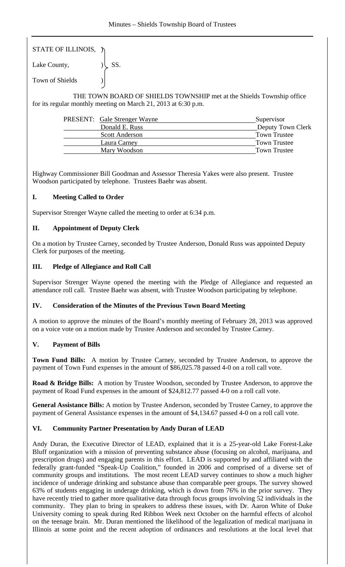STATE OF ILLINOIS, )

Lake County,  $|\text{SS}|$ . Town of Shields )

 THE TOWN BOARD OF SHIELDS TOWNSHIP met at the Shields Township office for its regular monthly meeting on March 21, 2013 at 6:30 p.m.

| <b>PRESENT:</b> Gale Strenger Wayne | Supervisor          |
|-------------------------------------|---------------------|
| Donald E. Russ                      | Deputy Town Clerk   |
| <b>Scott Anderson</b>               | <b>Town Trustee</b> |
| Laura Carney                        | <b>Town Trustee</b> |
| Mary Woodson                        | <b>Town Trustee</b> |

Highway Commissioner Bill Goodman and Assessor Theresia Yakes were also present. Trustee Woodson participated by telephone. Trustees Baehr was absent.

# **I. Meeting Called to Order**

Supervisor Strenger Wayne called the meeting to order at 6:34 p.m.

# **II. Appointment of Deputy Clerk**

On a motion by Trustee Carney, seconded by Trustee Anderson, Donald Russ was appointed Deputy Clerk for purposes of the meeting.

# **III. Pledge of Allegiance and Roll Call**

Supervisor Strenger Wayne opened the meeting with the Pledge of Allegiance and requested an attendance roll call. Trustee Baehr was absent, with Trustee Woodson participating by telephone.

# **IV. Consideration of the Minutes of the Previous Town Board Meeting**

A motion to approve the minutes of the Board's monthly meeting of February 28, 2013 was approved on a voice vote on a motion made by Trustee Anderson and seconded by Trustee Carney.

# **V. Payment of Bills**

**Town Fund Bills:** A motion by Trustee Carney, seconded by Trustee Anderson, to approve the payment of Town Fund expenses in the amount of \$86,025.78 passed 4-0 on a roll call vote.

**Road & Bridge Bills:** A motion by Trustee Woodson, seconded by Trustee Anderson, to approve the payment of Road Fund expenses in the amount of \$24,812.77 passed 4-0 on a roll call vote.

**General Assistance Bills:** A motion by Trustee Anderson, seconded by Trustee Carney, to approve the payment of General Assistance expenses in the amount of \$4,134.67 passed 4-0 on a roll call vote.

# **VI. Community Partner Presentation by Andy Duran of LEAD**

Andy Duran, the Executive Director of LEAD, explained that it is a 25-year-old Lake Forest-Lake Bluff organization with a mission of preventing substance abuse (focusing on alcohol, marijuana, and prescription drugs) and engaging parents in this effort. LEAD is supported by and affiliated with the federally grant-funded "Speak-Up Coalition," founded in 2006 and comprised of a diverse set of community groups and institutions. The most recent LEAD survey continues to show a much higher incidence of underage drinking and substance abuse than comparable peer groups. The survey showed 63% of students engaging in underage drinking, which is down from 76% in the prior survey. They have recently tried to gather more qualitative data through focus groups involving 52 individuals in the community. They plan to bring in speakers to address these issues, with Dr. Aaron White of Duke University coming to speak during Red Ribbon Week next October on the harmful effects of alcohol on the teenage brain. Mr. Duran mentioned the likelihood of the legalization of medical marijuana in Illinois at some point and the recent adoption of ordinances and resolutions at the local level that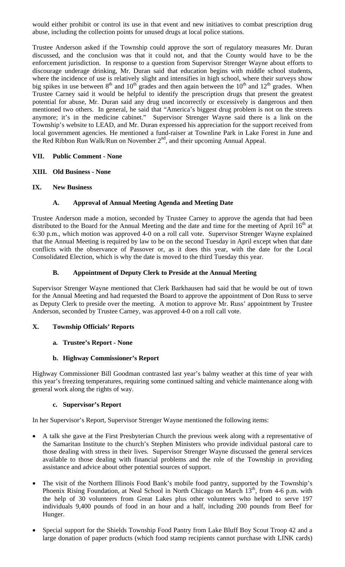would either prohibit or control its use in that event and new initiatives to combat prescription drug abuse, including the collection points for unused drugs at local police stations.

Trustee Anderson asked if the Township could approve the sort of regulatory measures Mr. Duran discussed, and the conclusion was that it could not, and that the County would have to be the enforcement jurisdiction. In response to a question from Supervisor Strenger Wayne about efforts to discourage underage drinking, Mr. Duran said that education begins with middle school students, where the incidence of use is relatively slight and intensifies in high school, where their surveys show big spikes in use between  $8<sup>th</sup>$  and  $10<sup>th</sup>$  grades and then again between the  $10<sup>th</sup>$  and  $12<sup>th</sup>$  grades. When Trustee Carney said it would be helpful to identify the prescription drugs that present the greatest potential for abuse, Mr. Duran said any drug used incorrectly or excessively is dangerous and then mentioned two others. In general, he said that "America's biggest drug problem is not on the streets anymore; it's in the medicine cabinet." Supervisor Strenger Wayne said there is a link on the Township's website to LEAD, and Mr. Duran expressed his appreciation for the support received from local government agencies. He mentioned a fund-raiser at Townline Park in Lake Forest in June and the Red Ribbon Run Walk/Run on November 2<sup>nd</sup>, and their upcoming Annual Appeal.

### **VII. Public Comment - None**

### **XIII. Old Business - None**

**IX. New Business** 

### **A. Approval of Annual Meeting Agenda and Meeting Date**

Trustee Anderson made a motion, seconded by Trustee Carney to approve the agenda that had been distributed to the Board for the Annual Meeting and the date and time for the meeting of April  $16<sup>th</sup>$  at 6:30 p.m., which motion was approved 4-0 on a roll call vote. Supervisor Strenger Wayne explained that the Annual Meeting is required by law to be on the second Tuesday in April except when that date conflicts with the observance of Passover or, as it does this year, with the date for the Local Consolidated Election, which is why the date is moved to the third Tuesday this year.

### **B. Appointment of Deputy Clerk to Preside at the Annual Meeting**

Supervisor Strenger Wayne mentioned that Clerk Barkhausen had said that he would be out of town for the Annual Meeting and had requested the Board to approve the appointment of Don Russ to serve as Deputy Clerk to preside over the meeting. A motion to approve Mr. Russ' appointment by Trustee Anderson, seconded by Trustee Carney, was approved 4-0 on a roll call vote.

#### **X. Township Officials' Reports**

#### **a. Trustee's Report - None**

#### **b. Highway Commissioner's Report**

Highway Commissioner Bill Goodman contrasted last year's balmy weather at this time of year with this year's freezing temperatures, requiring some continued salting and vehicle maintenance along with general work along the rights of way.

#### **c. Supervisor's Report**

In her Supervisor's Report, Supervisor Strenger Wayne mentioned the following items:

- A talk she gave at the First Presbyterian Church the previous week along with a representative of the Samaritan Institute to the church's Stephen Ministers who provide individual pastoral care to those dealing with stress in their lives. Supervisor Strenger Wayne discussed the general services available to those dealing with financial problems and the role of the Township in providing assistance and advice about other potential sources of support.
- The visit of the Northern Illinois Food Bank's mobile food pantry, supported by the Township's Phoenix Rising Foundation, at Neal School in North Chicago on March 13<sup>th</sup>, from 4-6 p.m. with the help of 30 volunteers from Great Lakes plus other volunteers who helped to serve 197 individuals 9,400 pounds of food in an hour and a half, including 200 pounds from Beef for Hunger.
- Special support for the Shields Township Food Pantry from Lake Bluff Boy Scout Troop 42 and a large donation of paper products (which food stamp recipients cannot purchase with LINK cards)